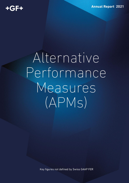**Annual Report 2021** 

## Alternative Performance Measures  $(APMS)$

Key figures not defined by Swiss GAAP FER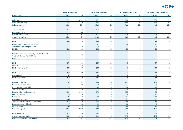## $+GF+$

|                                                                                             | <b>GF Corporation</b> |                 |                | <b>GF Piping Systems</b> |                         | <b>GF Casting Solutions</b> |                | <b>GF Machining Solutions</b> |  |
|---------------------------------------------------------------------------------------------|-----------------------|-----------------|----------------|--------------------------|-------------------------|-----------------------------|----------------|-------------------------------|--|
| <b>CHF million</b>                                                                          | 2021                  | 2020            | 2021           | 2020                     | 2021                    | 2020                        | 2021           | 2020                          |  |
|                                                                                             |                       |                 |                |                          |                         |                             |                |                               |  |
| Sales actual                                                                                | 3'722                 | 3'184           | 1'971          | 1'708                    | 880                     | 752                         | 873            | 725                           |  |
| Sales previous year                                                                         | 3'184                 | 3'720           | 1'708          | 1'802                    | 752                     | 949                         | 725            | 972                           |  |
| Sales growth in %                                                                           | 16.9                  | $-14.4$         | 15.4           | $-5.2$                   | 17.1                    | $-20.8$                     | 20.3           | $-25.4$                       |  |
| Acquisitions in %                                                                           | 0.9                   | 0.1             | 1.6            | 0.2                      |                         |                             | 0.1            |                               |  |
| Divestments in %                                                                            |                       | $-1.6$          |                |                          |                         | $-6.2$                      |                |                               |  |
| Currency impact in %                                                                        | 0.1                   | $-4.7$          | $-0.5$         | $-5.7$                   | $1.2$                   | $-3.7$                      | 0.4            | $-3.7$                        |  |
| Organic growth in %                                                                         | 15.9                  | $-8.4$          | 14.3           | 0.3                      | 15.9                    | $-11.9$                     | 19.8           | $-21.6$                       |  |
|                                                                                             |                       |                 |                |                          |                         |                             |                |                               |  |
| <b>EBIT</b>                                                                                 | 278                   | 166             | 247            | 193                      | 5 <sup>5</sup>          | $-34$                       | 47             | 20                            |  |
| Depreciation on tangible fixed assets                                                       | 127                   | 127             | 52             | 49                       | 58                      | 59                          | 12             | 12                            |  |
| Amortization on intangible assets                                                           | $\overline{7}$        | $6\phantom{1}6$ | $\sqrt{3}$     | 3                        | $\overline{1}$          | $\blacktriangleleft$        | 3              | $\overline{2}$                |  |
| <b>EBITDA</b>                                                                               | 412                   | 299             | 302            | 245                      | 63                      | 26                          | 61             | 34                            |  |
| Loss from relocation of foundry activities from GF<br><b>Casting Solutions Werdohl GmbH</b> |                       | 19              |                |                          |                         | 19                          |                |                               |  |
| One-offs                                                                                    |                       | 19              |                |                          |                         | 19                          |                |                               |  |
|                                                                                             |                       |                 |                |                          |                         |                             |                |                               |  |
| <b>EBIT</b>                                                                                 | 278                   | 166             | 247            | 193                      | $5\phantom{a}$          | $-34$                       | 47             | 20                            |  |
| One-offs                                                                                    |                       | 19              |                |                          |                         | 19                          |                |                               |  |
| <b>EBIT before one-offs</b>                                                                 | 278                   | 185             | 247            | 193                      | $5\phantom{a}$          | $-15$                       | 47             | 20                            |  |
|                                                                                             |                       |                 |                |                          |                         |                             |                |                               |  |
| <b>EBIT</b>                                                                                 | 278                   | 166             | 247            | 193                      | $5\phantom{.0}$         | $-34$                       | 47             | 20                            |  |
| <b>Current taxes</b>                                                                        | $-59$                 | $-37$           | $-50$          | $-39$                    | $-3$                    | 8                           | $-9$           | $-2$                          |  |
| <b>EBIT after taxes</b>                                                                     | 219                   | 129             | 197            | 153                      | $\overline{\mathbf{2}}$ | $-26$                       | 38             | 18                            |  |
| Net working capital                                                                         | 781                   | 707             | 466            | 410                      | 162                     | 112                         | 153            | 195                           |  |
| Income taxes receivable                                                                     | 18                    | 22              | $\sqrt{3}$     | $\overline{2}$           |                         | 3                           | 3              | $\overline{2}$                |  |
| Other accounts receivable                                                                   | 74                    | 61              | 39             | 28                       | 16                      | 10                          | 13             | 15                            |  |
| Accrued income                                                                              | 13                    | 16              | $\overline{4}$ | $6\overline{6}$          | 3                       | 3                           | $\overline{3}$ | $\mathbf{3}$                  |  |
| Property, plant, and equipment                                                              | 1'029                 | 1'026           | 373            | 362                      | 445                     | 454                         | 88             | 84                            |  |
| Intangible assets                                                                           | 40                    | 36              | 22             | 20                       | 6                       | 6                           | 11             | 9                             |  |
| Provisions                                                                                  | $-125$                | $-140$          | $-43$          | $-38$                    | $-35$                   | $-54$                       | $-19$          | $-21$                         |  |
| <b>Current tax liabilities</b>                                                              | $-58$                 | $-48$           | $-21$          | $-16$                    | $-1$                    | $-2$                        | $-7$           | $-6$                          |  |
| Accrued liabilities and deferred income                                                     | $-273$                | $-239$          | $-158$         | $-130$                   | $-42$                   | $-43$                       | $-65$          | $-58$                         |  |
| Employee benefit obligations                                                                | $-47$                 | $-52$           | $-20$          | $-26$                    | $-13$                   | $-13$                       | $-8$           | $-8$                          |  |
| <b>Other liabilities</b>                                                                    | $-96$                 | $-75$           | $-36$          | $-25$                    | $-36$                   | $-30$                       | $-20$          | $-18$                         |  |
| <b>Invested capital</b>                                                                     | 1'355                 | 1'313           | 630            | 593                      | 504                     | 448                         | 151            | 197                           |  |
|                                                                                             |                       |                 |                |                          |                         |                             |                |                               |  |
| <b>EBIT</b> after taxes                                                                     | 219                   | 129             | 197            | 153                      | $\overline{2}$          | $-26$                       | 38             | 18                            |  |
| Average invested capital                                                                    | 1'334                 | 1'393           | 612            | 635                      | 476                     | 463                         | 174            | 227                           |  |
| Return on invested capital in %                                                             | 16.4                  | 9.3             | 32.1           | 24.2                     | 0.3                     | $-5.7$                      | 21.9           | 7.8                           |  |